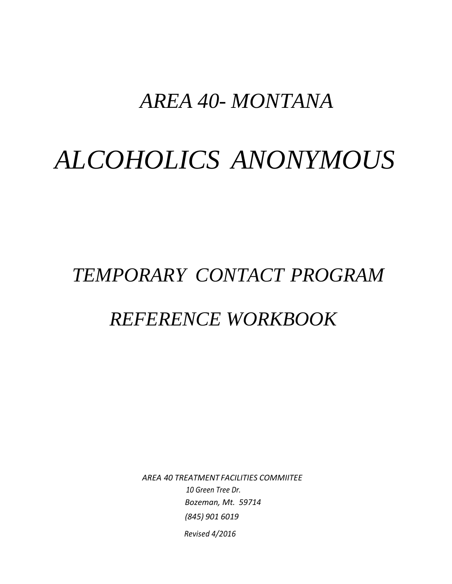## *AREA 40- MONTANA.*

# *ALCOHOLICS ANONYMOUS*

## *TEMPORARY CONTACT PROGRAM*

## *REFERENCE WORKBOOK*

*AREA 40 TREATMENT FACILITIES COMMIITEE 10 Green Tree Dr. Bozeman, Mt. 59714 (845) 901 6019 Revised 4/2016*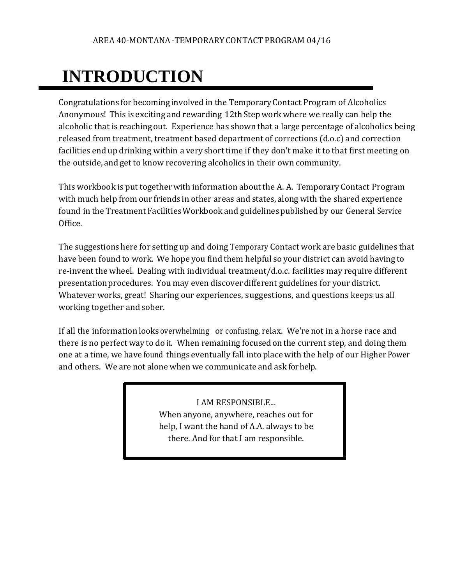# **INTRODUCTION**

Congratulations for becoming involved in the TemporaryContact Program of Alcoholics Anonymous! This is exciting and rewarding 12th Stepwork where we really can help the alcoholic that is reachingout. Experience has shown that a large percentage of alcoholics being released from treatment, treatment based department of corrections (d.o.c) and correction facilities end up drinking within a very short time if they don't make it to that first meeting on the outside, and get to know recovering alcoholics in their own community.

This workbook is put together with information about the A. A. Temporary Contact Program with much help from our friends in other areas and states, along with the shared experience found in the Treatment Facilities Workbook and guidelines published by our General Service Office.

The suggestionshere for setting up and doing Temporary Contact work are basic guidelines that have been found to work. We hope you find them helpful so your district can avoid having to re-invent the wheel. Dealing with individual treatment/d.o.c. facilities may require different presentation procedures. You may even discover different guidelines for your district. Whatever works, great! Sharing our experiences, suggestions, and questions keeps us all working together and sober.

If all the information looks overwhelming or confusing, relax. We're not in a horse race and there is no perfect way to do it. When remaining focusedon the current step, and doing them one at a time, we have found things eventually fall into placewith the help of our Higher Power and others. We are not alone when we communicate and ask for help.

> I AM RESPONSIBLE... When anyone, anywhere, reaches out for help, I want the hand of A.A. always to be there. And for that I am responsible.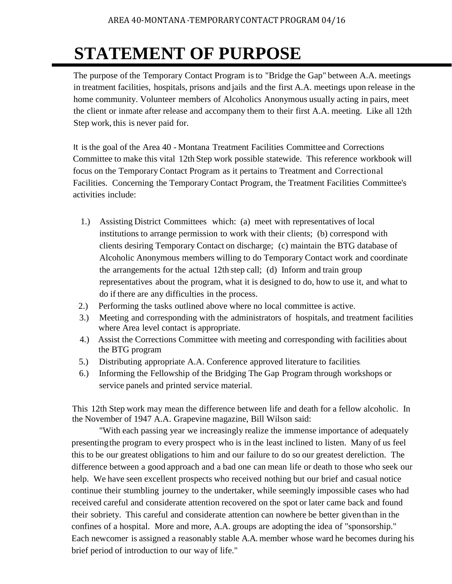## **STATEMENT OF PURPOSE**

The purpose of the Temporary Contact Program isto "Bridge the Gap" between A.A. meetings in treatment facilities, hospitals, prisons and jails and the first A.A. meetings upon release in the home community. Volunteer members of Alcoholics Anonymous usually acting in pairs, meet the client or inmate after release and accompany them to their first A.A. meeting. Like all 12th Step work, this is never paid for.

It is the goal of the Area 40 - Montana Treatment Facilities Committee and Corrections Committee to make this vital 12th Step work possible statewide. This reference workbook will focus on the Temporary Contact Program as it pertains to Treatment and Correctional Facilities. Concerning the Temporary Contact Program, the Treatment Facilities Committee's activities include:

- 1.) Assisting District Committees which: (a) meet with representatives of local institutions to arrange permission to work with their clients; (b) correspond with clients desiring Temporary Contact on discharge; (c) maintain the BTG database of Alcoholic Anonymous members willing to do Temporary Contact work and coordinate the arrangements for the actual 12th step call; (d) Inform and train group representatives about the program, what it is designed to do, how to use it, and what to do if there are any difficulties in the process.
- · 2.) Performing the tasks outlined above where no local committee is active.
- 3.) Meeting and corresponding with the administrators of hospitals, and treatment facilities where Area level contact is appropriate.
- 4.) Assist the Corrections Committee with meeting and corresponding with facilities about the BTG program
- 5.) Distributing appropriate A.A. Conference approved literature to facilities.
- 6.) Informing the Fellowship of the Bridging The Gap Program through workshops or service panels and printed service material.

This 12th Step work may mean the difference between life and death for a fellow alcoholic. In the November of 1947 A.A. Grapevine magazine, Bill Wilson said:

"With each passing year we increasingly realize the immense importance of adequately presentingthe program to every prospect who is in the least inclined to listen. Many of us feel this to be our greatest obligations to him and our failure to do so our greatest dereliction. The difference between a good approach and a bad one can mean life or death to those who seek our help. We have seen excellent prospects who received nothing but our brief and casual notice continue their stumbling journey to the undertaker, while seemingly impossible cases who had received careful and considerate attention recovered on the spot or later came back and found their sobriety. This careful and considerate attention can nowhere be better given than in the confines of a hospital. More and more, A.A. groups are adopting the idea of "sponsorship." Each newcomer is assigned a reasonably stable A.A. member whose ward he becomes during his brief period of introduction to our way of life."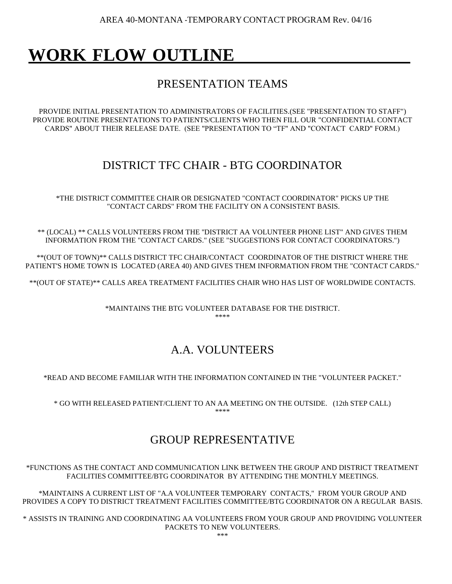AREA 40-MONTANA -TEMPORARY CONTACT PROGRAM Rev. 04/16

## **WORK FLOW OUTLINE**

### PRESENTATION TEAMS

PROVIDE INITIAL PRESENTATION TO ADMINISTRATORS OF FACILITIES.(SEE "PRESENTATION TO STAFF") PROVIDE ROUTINE PRESENTATIONS TO PATIENTS/CLIENTS WHO THEN FILL OUR "CONFIDENTIAL CONTACT CARDS" ABOUT THEIR RELEASE DATE. (SEE "PRESENTATION TO "TF" AND "CONTACT CARD" FORM.)

### DISTRICT TFC CHAIR - BTG COORDINATOR

\*THE DISTRICT COMMITTEE CHAIR OR DESIGNATED "CONTACT COORDINATOR" PICKS UP THE "CONTACT CARDS" FROM THE FACILITY ON A CONSISTENT BASIS.

\*\* (LOCAL) \*\* CALLS VOLUNTEERS FROM THE ''DISTRICT AA VOLUNTEER PHONE LIST" AND GIVES THEM INFORMATION FROM THE "CONTACT CARDS." (SEE "SUGGESTIONS FOR CONTACT COORDINATORS.")

\*\*(OUT OF TOWN)\*\* CALLS DISTRICT TFC CHAIR/CONTACT COORDINATOR OF THE DISTRICT WHERE THE PATIENT'S HOME TOWN IS LOCATED (AREA 40) AND GIVES THEM INFORMATION FROM THE "CONTACT CARDS."

\*\*(OUT OF STATE)\*\* CALLS AREA TREATMENT FACILITIES CHAIR WHO HAS LIST OF WORLDWIDE CONTACTS.

\*MAINTAINS THE BTG VOLUNTEER DATABASE FOR THE DISTRICT. \*\*\*\*

### A.A. VOLUNTEERS

\*READ AND BECOME FAMILIAR WITH THE INFORMATION CONTAINED IN THE "VOLUNTEER PACKET."

\* GO WITH RELEASED PATIENT/CLIENT TO AN AA MEETING ON THE OUTSIDE. (12th STEP CALL) \*\*\*\*

### GROUP REPRESENTATIVE

\*FUNCTIONS AS THE CONTACT AND COMMUNICATION LINK BETWEEN THE GROUP AND DISTRICT TREATMENT FACILITIES COMMITTEE/BTG COORDINATOR BY ATTENDING THE MONTHLY MEETINGS.

\*MAINTAINS A CURRENT LIST OF "A.A VOLUNTEER TEMPORARY CONTACTS," FROM YOUR GROUP AND PROVIDES A COPY TO DISTRICT TREATMENT FACILITIES COMMITTEE/BTG COORDINATOR ON A REGULAR BASIS.

\* ASSISTS IN TRAINING AND COORDINATING AA VOLUNTEERS FROM YOUR GROUP AND PROVIDING VOLUNTEER PACKETS TO NEW VOLUNTEERS.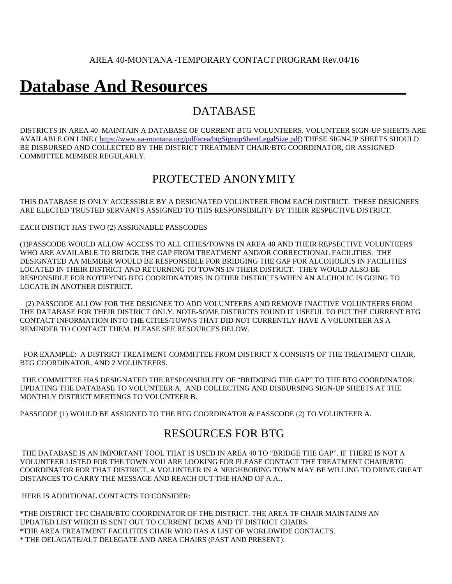## **Database And Resources**

### DATABASE

DISTRICTS IN AREA 40 MAINTAIN A DATABASE OF CURRENT BTG VOLUNTEERS. VOLUNTEER SIGN-UP SHEETS ARE AVAILABLE ON LINE.( [https://www.aa-montana.org/pdf/area/btgSignupSheetLegalSize.pdf\)](https://www.aa-montana.org/pdf/area/btgSignupSheetLegalSize.pdf) THESE SIGN-UP SHEETS SHOULD BE DISBURSED AND COLLECTED BY THE DISTRICT TREATMENT CHAIR/BTG COORDINATOR, OR ASSIGNED COMMITTEE MEMBER REGULARLY.

### PROTECTED ANONYMITY

THIS DATABASE IS ONLY ACCESSIBLE BY A DESIGNATED VOLUNTEER FROM EACH DISTRICT. THESE DESIGNEES ARE ELECTED TRUSTED SERVANTS ASSIGNED TO THIS RESPONSIBILITY BY THEIR RESPECTIVE DISTRICT.

EACH DISTICT HAS TWO (2) ASSIGNABLE PASSCODES

(1)PASSCODE WOULD ALLOW ACCESS TO ALL CITIES/TOWNS IN AREA 40 AND THEIR REPSECTIVE VOLUNTEERS WHO ARE AVAILABLE TO BRIDGE THE GAP FROM TREATMENT AND/OR CORRECTIONAL FACILITIES. THE DESIGNATED AA MEMBER WOULD BE RESPONSIBLE FOR BRIDGING THE GAP FOR ALCOHOLICS IN FACILITIES LOCATED IN THEIR DISTRICT AND RETURNING TO TOWNS IN THEIR DISTRICT. THEY WOULD ALSO BE RESPONSIBLE FOR NOTIFYING BTG COORIDNATORS IN OTHER DISTRICTS WHEN AN ALCHOLIC IS GOING TO LOCATE IN ANOTHER DISTRICT.

 (2) PASSCODE ALLOW FOR THE DESIGNEE TO ADD VOLUNTEERS AND REMOVE INACTIVE VOLUNTEERS FROM THE DATABASE FOR THEIR DISTRICT ONLY. NOTE-SOME DISTRICTS FOUND IT USEFUL TO PUT THE CURRENT BTG CONTACT INFORMATION INTO THE CITIES/TOWNS THAT DID NOT CURRENTLY HAVE A VOLUNTEER AS A REMINDER TO CONTACT THEM. PLEASE SEE RESOURCES BELOW.

 FOR EXAMPLE: A DISTRICT TREATMENT COMMITTEE FROM DISTRICT X CONSISTS OF THE TREATMENT CHAIR, BTG COORDINATOR, AND 2 VOLUNTEERS.

THE COMMITTEE HAS DESIGNATED THE RESPONSIBILITY OF "BRIDGING THE GAP" TO THE BTG COORDINATOR, UPDATING THE DATABASE TO VOLUNTEER A, AND COLLECTING AND DISBURSING SIGN-UP SHEETS AT THE MONTHLY DISTRICT MEETINGS TO VOLUNTEER B.

PASSCODE (1) WOULD BE ASSIGNED TO THE BTG COORDINATOR & PASSCODE (2) TO VOLUNTEER A.

### RESOURCES FOR BTG

THE DATABASE IS AN IMPORTANT TOOL THAT IS USED IN AREA 40 TO "BRIDGE THE GAP". IF THERE IS NOT A VOLUNTEER LISTED FOR THE TOWN YOU ARE LOOKING FOR PLEASE CONTACT THE TREATMENT CHAIR/BTG COORDINATOR FOR THAT DISTRICT. A VOLUNTEER IN A NEIGHBORING TOWN MAY BE WILLING TO DRIVE GREAT DISTANCES TO CARRY THE MESSAGE AND REACH OUT THE HAND OF A.A..

HERE IS ADDITIONAL CONTACTS TO CONSIDER:

\*THE DISTRICT TFC CHAIR/BTG COORDINATOR OF THE DISTRICT. THE AREA TF CHAIR MAINTAINS AN UPDATED LIST WHICH IS SENT OUT TO CURRENT DCMS AND TF DISTRICT CHAIRS. \*THE AREA TREATMENT FACILITIES CHAIR WHO HAS A LIST OF WORLDWIDE CONTACTS. \* THE DELAGATE/ALT DELEGATE AND AREA CHAIRS (PAST AND PRESENT).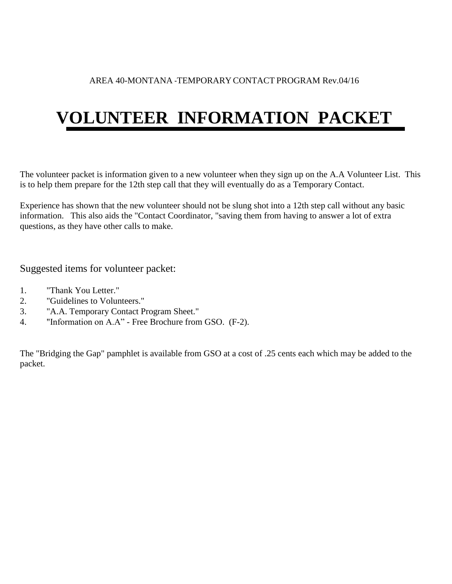#### AREA 40-MONTANA -TEMPORARY CONTACT PROGRAM Rev.04/16

# **VOLUNTEER INFORMATION PACKET**

The volunteer packet is information given to a new volunteer when they sign up on the A.A Volunteer List. This is to help them prepare for the 12th step call that they will eventually do as a Temporary Contact.

Experience has shown that the new volunteer should not be slung shot into a 12th step call without any basic information. This also aids the "Contact Coordinator, "saving them from having to answer a lot of extra questions, as they have other calls to make.

Suggested items for volunteer packet:

- 1. "Thank You Letter."
- 2. "Guidelines to Volunteers."
- 3. "A.A. Temporary Contact Program Sheet."
- 4. "Information on A.A" Free Brochure from GSO. (F-2).

The "Bridging the Gap" pamphlet is available from GSO at a cost of .25 cents each which may be added to the packet.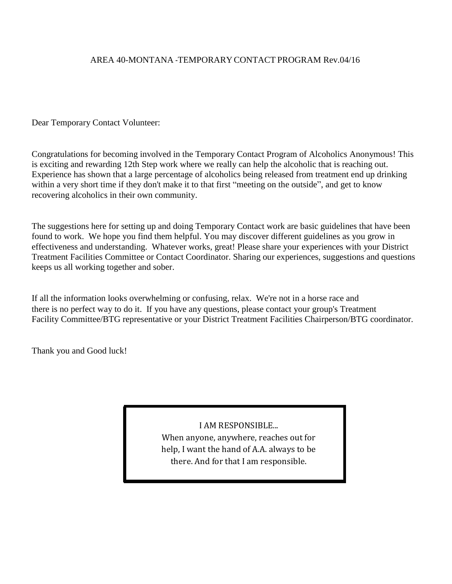#### AREA 40-MONTANA -TEMPORARY CONTACT PROGRAM Rev.04/16

Dear Temporary Contact Volunteer:

Congratulations for becoming involved in the Temporary Contact Program of Alcoholics Anonymous! This is exciting and rewarding 12th Step work where we really can help the alcoholic that is reaching out. Experience has shown that a large percentage of alcoholics being released from treatment end up drinking within a very short time if they don't make it to that first "meeting on the outside", and get to know recovering alcoholics in their own community.

The suggestions here for setting up and doing Temporary Contact work are basic guidelines that have been found to work. We hope you find them helpful. You may discover different guidelines as you grow in effectiveness and understanding. Whatever works, great! Please share your experiences with your District Treatment Facilities Committee or Contact Coordinator. Sharing our experiences, suggestions and questions keeps us all working together and sober.

If all the information looks overwhelming or confusing, relax. We're not in a horse race and there is no perfect way to do it. If you have any questions, please contact your group's Treatment Facility Committee/BTG representative or your District Treatment Facilities Chairperson/BTG coordinator.

Thank you and Good luck!

I AM RESPONSIBLE... When anyone, anywhere, reaches out for

help, I want the hand of A.A. always to be there. And for that I am responsible.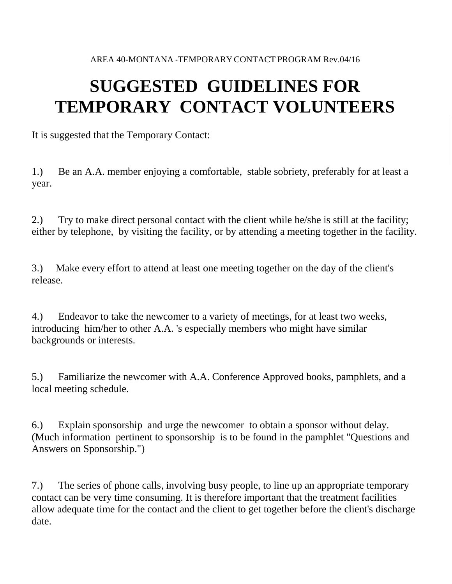## **SUGGESTED GUIDELINES FOR TEMPORARY CONTACT VOLUNTEERS**

It is suggested that the Temporary Contact:

1.) Be an A.A. member enjoying a comfortable, stable sobriety, preferably for at least a year.

2.) Try to make direct personal contact with the client while he/she is still at the facility; either by telephone, by visiting the facility, or by attending a meeting together in the facility.

3.) Make every effort to attend at least one meeting together on the day of the client's release.

4.) Endeavor to take the newcomer to a variety of meetings, for at least two weeks, introducing him/her to other A.A. 's especially members who might have similar backgrounds or interests.

5.) Familiarize the newcomer with A.A. Conference Approved books, pamphlets, and a local meeting schedule.

6.) Explain sponsorship and urge the newcomer to obtain a sponsor without delay. (Much information pertinent to sponsorship is to be found in the pamphlet "Questions and Answers on Sponsorship.")

7.) The series of phone calls, involving busy people, to line up an appropriate temporary contact can be very time consuming. It is therefore important that the treatment facilities allow adequate time for the contact and the client to get together before the client's discharge date.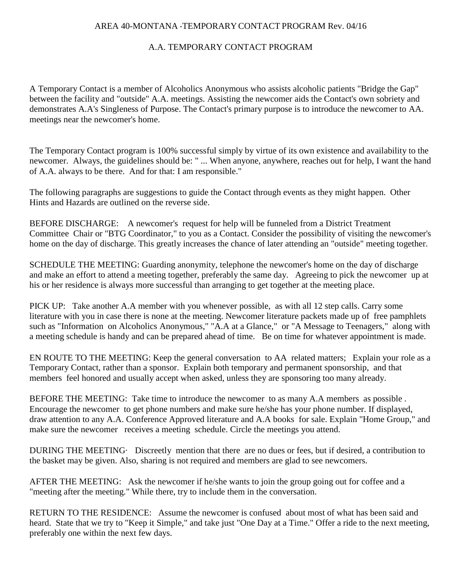#### AREA 40-MONTANA -TEMPORARY CONTACT PROGRAM Rev. 04/16

#### A.A. TEMPORARY CONTACT PROGRAM

A Temporary Contact is a member of Alcoholics Anonymous who assists alcoholic patients "Bridge the Gap" between the facility and "outside" A.A. meetings. Assisting the newcomer aids the Contact's own sobriety and demonstrates A.A's Singleness of Purpose. The Contact's primary purpose is to introduce the newcomer to AA. meetings near the newcomer's home.

The Temporary Contact program is 100% successful simply by virtue of its own existence and availability to the newcomer. Always, the guidelines should be: " ... When anyone, anywhere, reaches out for help, I want the hand of A.A. always to be there. And for that: I am responsible."

The following paragraphs are suggestions to guide the Contact through events as they might happen. Other Hints and Hazards are outlined on the reverse side.

BEFORE DISCHARGE: A newcomer's request for help will be funneled from a District Treatment Committee Chair or "BTG Coordinator," to you as a Contact. Consider the possibility of visiting the newcomer's home on the day of discharge. This greatly increases the chance of later attending an "outside" meeting together.

SCHEDULE THE MEETING: Guarding anonymity, telephone the newcomer's home on the day of discharge and make an effort to attend a meeting together, preferably the same day. Agreeing to pick the newcomer up at his or her residence is always more successful than arranging to get together at the meeting place.

PICK UP: Take another A.A member with you whenever possible, as with all 12 step calls. Carry some literature with you in case there is none at the meeting. Newcomer literature packets made up of free pamphlets such as "Information on Alcoholics Anonymous," "A.A at a Glance," or "A Message to Teenagers," along with a meeting schedule is handy and can be prepared ahead of time. Be on time for whatever appointment is made.

EN ROUTE TO THE MEETING: Keep the general conversation to AA related matters; Explain your role as a Temporary Contact, rather than a sponsor. Explain both temporary and permanent sponsorship, and that members feel honored and usually accept when asked, unless they are sponsoring too many already.

BEFORE THE MEETING: Take time to introduce the newcomer to as many A.A members as possible . Encourage the newcomer to get phone numbers and make sure he/she has your phone number. If displayed, draw attention to any A.A. Conference Approved literature and A.A books for sale. Explain "Home Group," and make sure the newcomer receives a meeting schedule. Circle the meetings you attend.

DURING THE MEETING· Discreetly mention that there are no dues or fees, but if desired, a contribution to the basket may be given. Also, sharing is not required and members are glad to see newcomers.

AFTER THE MEETING: Ask the newcomer if he/she wants to join the group going out for coffee and a "meeting after the meeting." While there, try to include them in the conversation.

RETURN TO THE RESIDENCE: Assume the newcomer is confused about most of what has been said and heard. State that we try to "Keep it Simple," and take just "One Day at a Time." Offer a ride to the next meeting, preferably one within the next few days.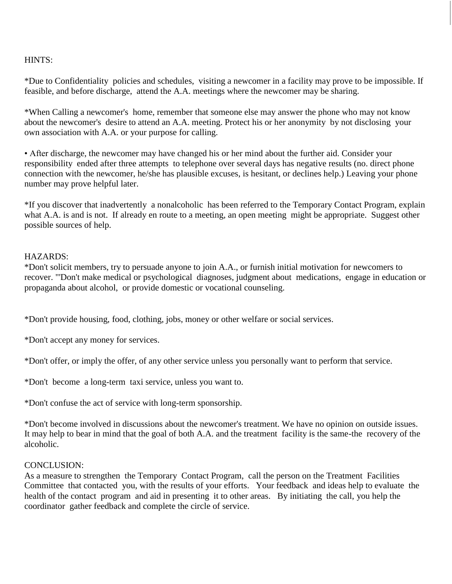#### HINTS:

\*Due to Confidentiality policies and schedules, visiting a newcomer in a facility may prove to be impossible. If feasible, and before discharge, attend the A.A. meetings where the newcomer may be sharing.

\*When Calling a newcomer's home, remember that someone else may answer the phone who may not know about the newcomer's desire to attend an A.A. meeting. Protect his or her anonymity by not disclosing your own association with A.A. or your purpose for calling.

• After discharge, the newcomer may have changed his or her mind about the further aid. Consider your responsibility ended after three attempts to telephone over several days has negative results (no. direct phone connection with the newcomer, he/she has plausible excuses, is hesitant, or declines help.) Leaving your phone number may prove helpful later.

\*If you discover that inadvertently a nonalcoholic has been referred to the Temporary Contact Program, explain what A.A. is and is not. If already en route to a meeting, an open meeting might be appropriate. Suggest other possible sources of help.

#### HAZARDS:

\*Don't solicit members, try to persuade anyone to join A.A., or furnish initial motivation for newcomers to recover. "'Don't make medical or psychological diagnoses, judgment about medications, engage in education or propaganda about alcohol, or provide domestic or vocational counseling.

\*Don't provide housing, food, clothing, jobs, money or other welfare or social services.

\*Don't accept any money for services.

\*Don't offer, or imply the offer, of any other service unless you personally want to perform that service.

\*Don't become a long-term taxi service, unless you want to.

\*Don't confuse the act of service with long-term sponsorship.

\*Don't become involved in discussions about the newcomer's treatment. We have no opinion on outside issues. It may help to bear in mind that the goal of both A.A. and the treatment facility is the same-the recovery of the alcoholic.

#### CONCLUSION:

As a measure to strengthen the Temporary Contact Program, call the person on the Treatment Facilities Committee that contacted you, with the results of your efforts. Your feedback and ideas help to evaluate the health of the contact program and aid in presenting it to other areas. By initiating the call, you help the coordinator gather feedback and complete the circle of service.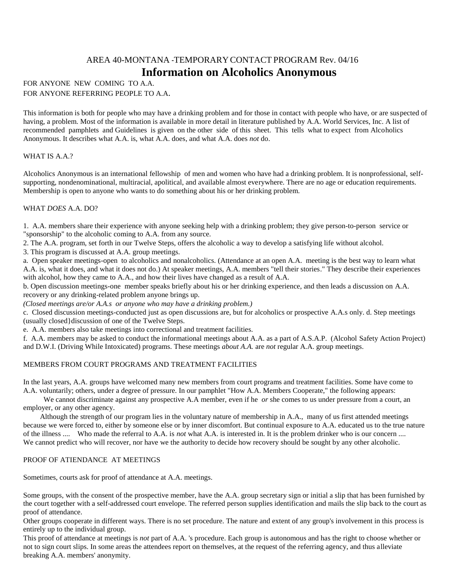#### AREA 40-MONTANA -TEMPORARY CONTACT PROGRAM Rev. 04/16 **Information on Alcoholics Anonymous**

#### FOR ANYONE NEW COMING TO A.A. FOR ANYONE REFERRING PEOPLE TO A.A.

This information is both for people who may have a drinking problem and for those in contact with people who have, or are suspected of having, a problem. Most of the information is available in more detail in literature published by A.A. World Services, Inc. A list of recommended pamphlets and Guidelines is given on the other side of this sheet. This tells what to expect from Alcoholics Anonymous. It describes what A.A. is, what A.A. does, and what A.A. does *not* do.

#### WHAT IS A.A.?

Alcoholics Anonymous is an international fellowship of men and women who have had a drinking problem. It is nonprofessional, selfsupporting, nondenominational, multiracial, apolitical, and available almost everywhere. There are no age or education requirements. Membership is open to anyone who wants to do something about his or her drinking problem.

#### WHAT *DOES* A.A. DO?

1. A.A. members share their experience with anyone seeking help with a drinking problem; they give person-to-person service or "sponsorship" to the alcoholic coming to A.A. from any source.

2. The A.A. program, set forth in our Twelve Steps, offers the alcoholic a way to develop a satisfying life without alcohol.

3. This program is discussed at A.A. group meetings.

a. Open speaker meetings-open to alcoholics and nonalcoholics. (Attendance at an open A.A. meeting is the best way to learn what A.A. is, what it does, and what it does not do.) At speaker meetings, A.A. members "tell their stories." They describe their experiences with alcohol, how they came to A.A., and how their lives have changed as a result of A.A.

b. Open discussion meetings-one member speaks briefly about his or her drinking experience, and then leads a discussion on A.A. recovery or any drinking-related problem anyone brings up.

*(Closed meetings are/or A.A.s or anyone who may have a drinking problem.)*

c. Closed discussion meetings-conducted just as open discussions are, but for alcoholics or prospective A.A.s only. d. Step meetings (usually closed}discussion of one of the Twelve Steps.

e. A.A. members also take meetings into correctional and treatment facilities.

f. A.A. members may be asked to conduct the informational meetings about A.A. as a part of A.S.A.P. (Alcohol Safety Action Project) and D.W.I. (Driving While Intoxicated) programs. These meetings *about A.A.* are *not* regular A.A. group meetings.

#### MEMBERS FROM COURT PROGRAMS AND TREATMENT FACILITIES

In the last years, A.A. groups have welcomed many new members from court programs and treatment facilities. Some have come to A.A. voluntarily; others, under a degree of pressure. In our pamphlet "How A.A. Members Cooperate," the following appears:

We cannot discriminate against any prospective A.A member, even if he *or* she comes to us under pressure from a court, an employer, or any other agency.

 Although the strength of our program lies in the voluntary nature of membership in A.A., many of us first attended meetings because we were forced to, either by someone else or by inner discomfort. But continual exposure to A.A. educated us to the true nature of the illness .... Who made the referral to A.A. is *not* what A.A. is interested in. It is the problem drinker who is our concern .... We cannot predict who will recover, nor have we the authority to decide how recovery should be sought by any other alcoholic.

#### PROOF OF ATIENDANCE AT MEETINGS

Sometimes, courts ask for proof of attendance at A.A. meetings.

Some groups, with the consent of the prospective member, have the A.A. group secretary sign or initial a slip that has been furnished by the court together with a self-addressed court envelope. The referred person supplies identification and mails the slip back to the court as proof of attendance.

Other groups cooperate in different ways. There is no set procedure. The nature and extent of any group's involvement in this process is entirely up to the individual group.

This proof of attendance at meetings is *not* part of A.A. 's procedure. Each group is autonomous and has the right to choose whether or not to sign court slips. In some areas the attendees report on themselves, at the request of the referring agency, and thus alleviate breaking A.A. members' anonymity.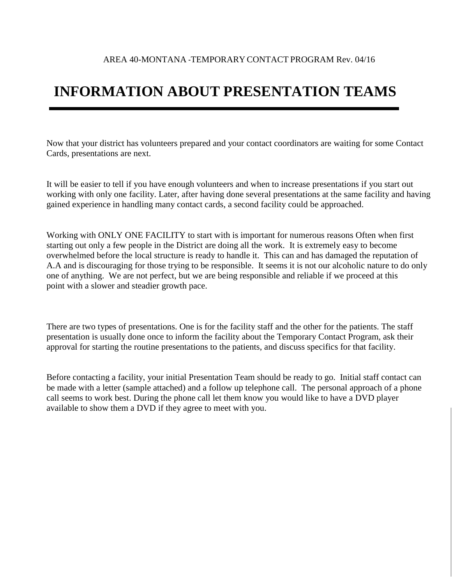### **INFORMATION ABOUT PRESENTATION TEAMS**

Now that your district has volunteers prepared and your contact coordinators are waiting for some Contact Cards, presentations are next.

It will be easier to tell if you have enough volunteers and when to increase presentations if you start out working with only one facility. Later, after having done several presentations at the same facility and having gained experience in handling many contact cards, a second facility could be approached.

Working with ONLY ONE FACILITY to start with is important for numerous reasons Often when first starting out only a few people in the District are doing all the work. It is extremely easy to become overwhelmed before the local structure is ready to handle it. This can and has damaged the reputation of A.A and is discouraging for those trying to be responsible. It seems it is not our alcoholic nature to do only one of anything. We are not perfect, but we are being responsible and reliable if we proceed at this point with a slower and steadier growth pace.

There are two types of presentations. One is for the facility staff and the other for the patients. The staff presentation is usually done once to inform the facility about the Temporary Contact Program, ask their approval for starting the routine presentations to the patients, and discuss specifics for that facility.

Before contacting a facility, your initial Presentation Team should be ready to go. Initial staff contact can be made with a letter (sample attached) and a follow up telephone call. The personal approach of a phone call seems to work best. During the phone call let them know you would like to have a DVD player available to show them a DVD if they agree to meet with you.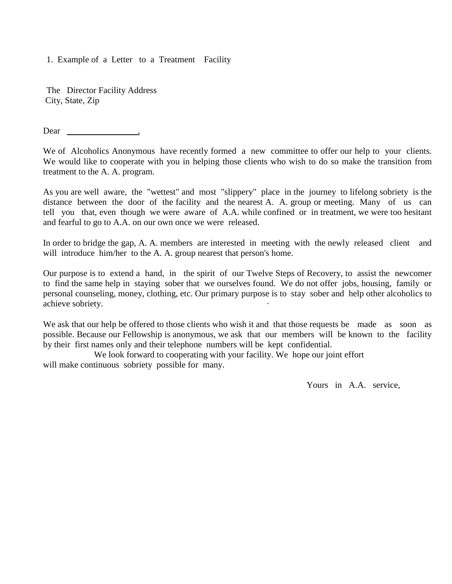1. Example of a Letter to a Treatment Facility

The Director Facility Address City, State, Zip

Dear ,

We of Alcoholics Anonymous have recently formed a new committee to offer our help to your clients. We would like to cooperate with you in helping those clients who wish to do so make the transition from treatment to the A. A. program.

As you are well aware, the "wettest" and most "slippery" place in the journey to lifelong sobriety is the distance between the door of the facility and the nearest A. A. group or meeting. Many of us can tell you that, even though we were aware of A.A. while confined or in treatment, we were too hesitant and fearful to go to A.A. on our own once we were released.

In order to bridge the gap, A. A. members are interested in meeting with the newly released client and will introduce him/her to the A. A. group nearest that person's home.

Our purpose is to extend a hand, in the spirit of our Twelve Steps of Recovery, to assist the newcomer to find the same help in staying sober that we ourselves found. We do not offer jobs, housing, family or personal counseling, money, clothing, etc. Our primary purpose is to stay sober and help other alcoholics to achieve sobriety.

We ask that our help be offered to those clients who wish it and that those requests be made as soon as possible. Because our Fellowship is anonymous, we ask that our members will be known to the facility by their first names only and their telephone numbers will be kept confidential.

 We look forward to cooperating with your facility. We hope our joint effort will make continuous sobriety possible for many.

Yours in A.A. service,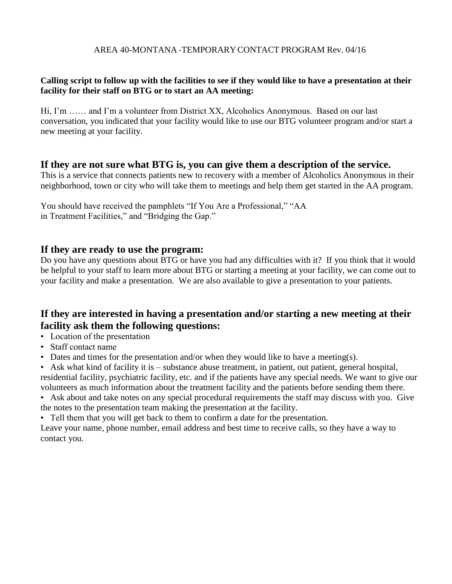#### AREA 40-MONTANA -TEMPORARY CONTACT PROGRAM Rev. 04/16

#### **Calling script to follow up with the facilities to see if they would like to have a presentation at their facility for their staff on BTG or to start an AA meeting:**

Hi, I'm …… and I'm a volunteer from District XX, Alcoholics Anonymous. Based on our last conversation, you indicated that your facility would like to use our BTG volunteer program and/or start a new meeting at your facility.

#### **If they are not sure what BTG is, you can give them a description of the service.**

This is a service that connects patients new to recovery with a member of Alcoholics Anonymous in their neighborhood, town or city who will take them to meetings and help them get started in the AA program.

You should have received the pamphlets "If You Are a Professional," "AA in Treatment Facilities," and "Bridging the Gap."

#### **If they are ready to use the program:**

Do you have any questions about BTG or have you had any difficulties with it? If you think that it would be helpful to your staff to learn more about BTG or starting a meeting at your facility, we can come out to your facility and make a presentation. We are also available to give a presentation to your patients.

#### **If they are interested in having a presentation and/or starting a new meeting at their facility ask them the following questions:**

- Location of the presentation
- Staff contact name
- Dates and times for the presentation and/or when they would like to have a meeting(s).

• Ask what kind of facility it is – substance abuse treatment, in patient, out patient, general hospital, residential facility, psychiatric facility, etc. and if the patients have any special needs. We want to give our volunteers as much information about the treatment facility and the patients before sending them there.

• Ask about and take notes on any special procedural requirements the staff may discuss with you. Give the notes to the presentation team making the presentation at the facility.

• Tell them that you will get back to them to confirm a date for the presentation.

Leave your name, phone number, email address and best time to receive calls, so they have a way to contact you.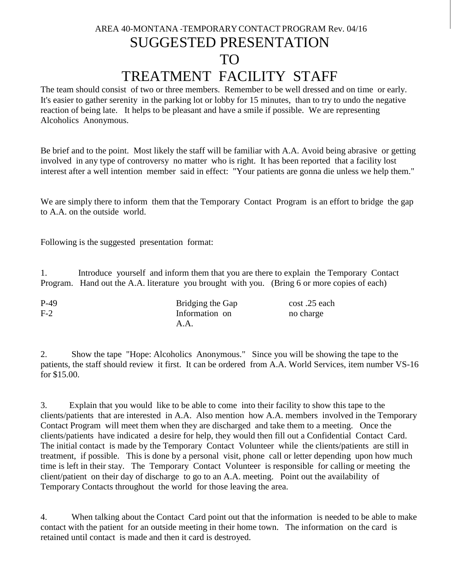### AREA 40-MONTANA -TEMPORARY CONTACT PROGRAM Rev. 04/16 SUGGESTED PRESENTATION TO TREATMENT FACILITY STAFF

The team should consist of two or three members. Remember to be well dressed and on time or early. It's easier to gather serenity in the parking lot or lobby for 15 minutes, than to try to undo the negative reaction of being late. It helps to be pleasant and have a smile if possible. We are representing Alcoholics Anonymous.

Be brief and to the point. Most likely the staff will be familiar with A.A. Avoid being abrasive or getting involved in any type of controversy no matter who is right. It has been reported that a facility lost interest after a well intention member said in effect: "Your patients are gonna die unless we help them."

We are simply there to inform them that the Temporary Contact Program is an effort to bridge the gap to A.A. on the outside world.

Following is the suggested presentation format:

1. Introduce yourself and inform them that you are there to explain the Temporary Contact Program. Hand out the A.A. literature you brought with you. (Bring 6 or more copies of each)

| $P-49$ | Bridging the Gap | cost .25 each |
|--------|------------------|---------------|
| $F-2$  | Information on   | no charge     |
|        | A.A.             |               |

2. Show the tape "Hope: Alcoholics Anonymous." Since you will be showing the tape to the patients, the staff should review it first. It can be ordered from A.A. World Services, item number VS-16 for \$15.00.

3. Explain that you would like to be able to come into their facility to show this tape to the clients/patients that are interested in A.A. Also mention how A.A. members involved in the Temporary Contact Program will meet them when they are discharged and take them to a meeting. Once the clients/patients have indicated a desire for help, they would then fill out a Confidential Contact Card. The initial contact is made by the Temporary Contact Volunteer while the clients/patients are still in treatment, if possible. This is done by a personal visit, phone call or letter depending upon how much time is left in their stay. The Temporary Contact Volunteer is responsible for calling or meeting the client/patient on their day of discharge to go to an A.A. meeting. Point out the availability of Temporary Contacts throughout the world for those leaving the area.

4. When talking about the Contact Card point out that the information is needed to be able to make contact with the patient for an outside meeting in their home town. The information on the card is retained until contact is made and then it card is destroyed.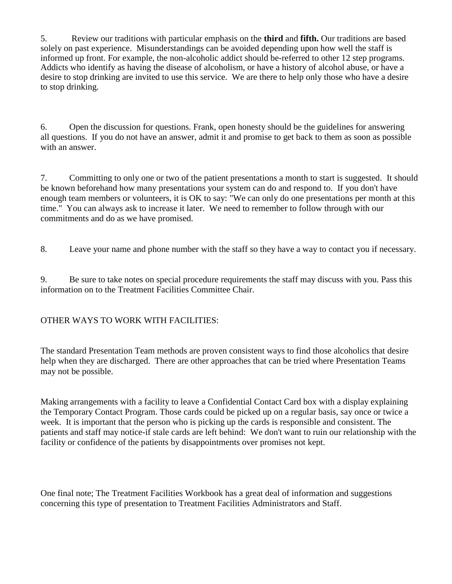5. Review our traditions with particular emphasis on the **third** and **fifth.** Our traditions are based solely on past experience. Misunderstandings can be avoided depending upon how well the staff is informed up front. For example, the non-alcoholic addict should be-referred to other 12 step programs. Addicts who identify as having the disease of alcoholism, or have a history of alcohol abuse, or have a desire to stop drinking are invited to use this service. We are there to help only those who have a desire to stop drinking.

6. Open the discussion for questions. Frank, open honesty should be the guidelines for answering all questions. If you do not have an answer, admit it and promise to get back to them as soon as possible with an answer.

7. Committing to only one or two of the patient presentations a month to start is suggested. It should be known beforehand how many presentations your system can do and respond to. If you don't have enough team members or volunteers, it is OK to say: "We can only do one presentations per month at this time." You can always ask to increase it later. We need to remember to follow through with our commitments and do as we have promised.

8. Leave your name and phone number with the staff so they have a way to contact you if necessary.

9. Be sure to take notes on special procedure requirements the staff may discuss with you. Pass this information on to the Treatment Facilities Committee Chair.

#### OTHER WAYS TO WORK WITH FACILITIES:

The standard Presentation Team methods are proven consistent ways to find those alcoholics that desire help when they are discharged. There are other approaches that can be tried where Presentation Teams may not be possible.

Making arrangements with a facility to leave a Confidential Contact Card box with a display explaining the Temporary Contact Program. Those cards could be picked up on a regular basis, say once or twice a week. It is important that the person who is picking up the cards is responsible and consistent. The patients and staff may notice-if stale cards are left behind: We don't want to ruin our relationship with the facility or confidence of the patients by disappointments over promises not kept.

One final note; The Treatment Facilities Workbook has a great deal of information and suggestions concerning this type of presentation to Treatment Facilities Administrators and Staff.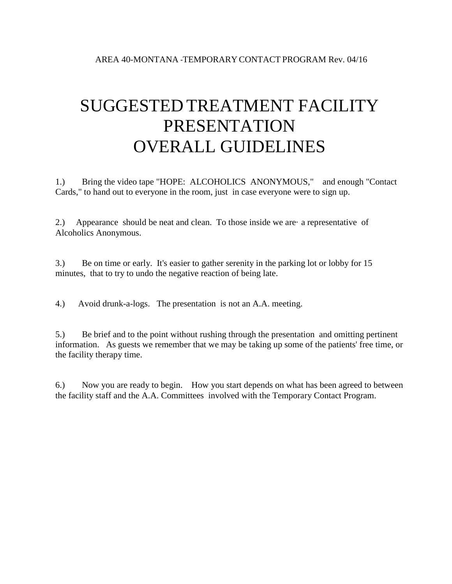## SUGGESTED TREATMENT FACILITY PRESENTATION OVERALL GUIDELINES

1.) Bring the video tape "HOPE: ALCOHOLICS ANONYMOUS," and enough "Contact Cards," to hand out to everyone in the room, just in case everyone were to sign up.

2.) Appearance should be neat and clean. To those inside we are a representative of Alcoholics Anonymous.

3.) Be on time or early. It's easier to gather serenity in the parking lot or lobby for 15 minutes, that to try to undo the negative reaction of being late.

4.) Avoid drunk-a-logs. The presentation is not an A.A. meeting.

5.) Be brief and to the point without rushing through the presentation and omitting pertinent information. As guests we remember that we may be taking up some of the patients' free time, or the facility therapy time.

6.) Now you are ready to begin. How you start depends on what has been agreed to between the facility staff and the A.A. Committees involved with the Temporary Contact Program.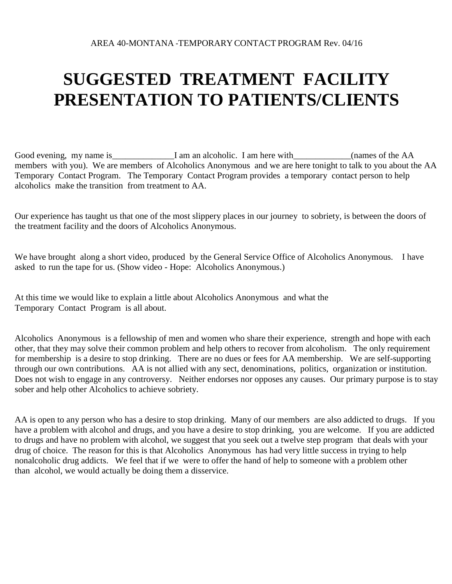## **SUGGESTED TREATMENT FACILITY PRESENTATION TO PATIENTS/CLIENTS**

Good evening, my name is\_\_\_\_\_\_\_\_\_\_\_\_\_\_I am an alcoholic. I am here with\_\_\_\_\_\_\_\_\_\_(names of the AA members with you). We are members of Alcoholics Anonymous and we are here tonight to talk to you about the AA Temporary Contact Program. The Temporary Contact Program provides a temporary contact person to help alcoholics make the transition from treatment to AA.

Our experience has taught us that one of the most slippery places in our journey to sobriety, is between the doors of the treatment facility and the doors of Alcoholics Anonymous.

We have brought along a short video, produced by the General Service Office of Alcoholics Anonymous. I have asked to run the tape for us. (Show video - Hope: Alcoholics Anonymous.)

At this time we would like to explain a little about Alcoholics Anonymous and what the Temporary Contact Program is all about.

Alcoholics Anonymous is a fellowship of men and women who share their experience, strength and hope with each other, that they may solve their common problem and help others to recover from alcoholism. The only requirement for membership is a desire to stop drinking. There are no dues or fees for AA membership. We are self-supporting through our own contributions. AA is not allied with any sect, denominations, politics, organization or institution. Does not wish to engage in any controversy. Neither endorses nor opposes any causes. Our primary purpose is to stay sober and help other Alcoholics to achieve sobriety.

AA is open to any person who has a desire to stop drinking. Many of our members are also addicted to drugs. If you have a problem with alcohol and drugs, and you have a desire to stop drinking, you are welcome. If you are addicted to drugs and have no problem with alcohol, we suggest that you seek out a twelve step program that deals with your drug of choice. The reason for this is that Alcoholics Anonymous has had very little success in trying to help nonalcoholic drug addicts. We feel that if we were to offer the hand of help to someone with a problem other than alcohol, we would actually be doing them a disservice.